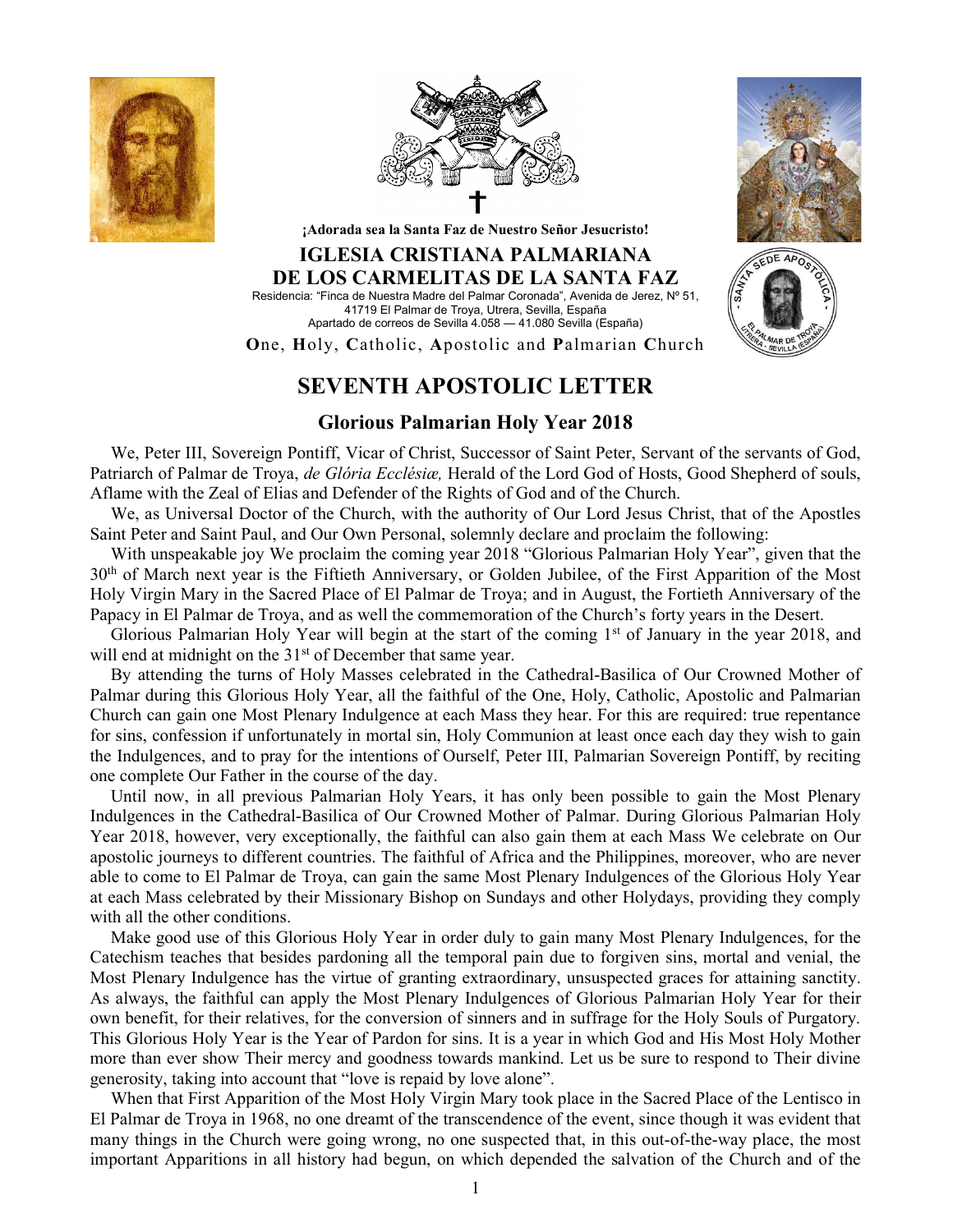





¡Adorada sea la Santa Faz de Nuestro Señor Jesucristo!

## IGLESIA CRISTIANA PALMARIANA DE LOS CARMELITAS DE LA SANTA FAZ Residencia: "Finca de Nuestra Madre del Palmar Coronada", Avenida de Jerez, Nº 51,

41719 El Palmar de Troya, Utrera, Sevilla, España Apartado de correos de Sevilla 4.058 — 41.080 Sevilla (España)

One, Holy, Catholic, Apostolic and Palmarian Church

## SEVENTH APOSTOLIC LETTER

## Glorious Palmarian Holy Year 2018

We, Peter III, Sovereign Pontiff, Vicar of Christ, Successor of Saint Peter, Servant of the servants of God, Patriarch of Palmar de Troya, de Glória Ecclésiæ, Herald of the Lord God of Hosts, Good Shepherd of souls, Aflame with the Zeal of Elias and Defender of the Rights of God and of the Church.

We, as Universal Doctor of the Church, with the authority of Our Lord Jesus Christ, that of the Apostles Saint Peter and Saint Paul, and Our Own Personal, solemnly declare and proclaim the following:

With unspeakable joy We proclaim the coming year 2018 "Glorious Palmarian Holy Year", given that the 30<sup>th</sup> of March next year is the Fiftieth Anniversary, or Golden Jubilee, of the First Apparition of the Most Holy Virgin Mary in the Sacred Place of El Palmar de Troya; and in August, the Fortieth Anniversary of the Papacy in El Palmar de Troya, and as well the commemoration of the Church's forty years in the Desert.

Glorious Palmarian Holy Year will begin at the start of the coming 1<sup>st</sup> of January in the year 2018, and will end at midnight on the 31<sup>st</sup> of December that same year.

By attending the turns of Holy Masses celebrated in the Cathedral-Basilica of Our Crowned Mother of Palmar during this Glorious Holy Year, all the faithful of the One, Holy, Catholic, Apostolic and Palmarian Church can gain one Most Plenary Indulgence at each Mass they hear. For this are required: true repentance for sins, confession if unfortunately in mortal sin, Holy Communion at least once each day they wish to gain the Indulgences, and to pray for the intentions of Ourself, Peter III, Palmarian Sovereign Pontiff, by reciting one complete Our Father in the course of the day.

Until now, in all previous Palmarian Holy Years, it has only been possible to gain the Most Plenary Indulgences in the Cathedral-Basilica of Our Crowned Mother of Palmar. During Glorious Palmarian Holy Year 2018, however, very exceptionally, the faithful can also gain them at each Mass We celebrate on Our apostolic journeys to different countries. The faithful of Africa and the Philippines, moreover, who are never able to come to El Palmar de Troya, can gain the same Most Plenary Indulgences of the Glorious Holy Year at each Mass celebrated by their Missionary Bishop on Sundays and other Holydays, providing they comply with all the other conditions.

Make good use of this Glorious Holy Year in order duly to gain many Most Plenary Indulgences, for the Catechism teaches that besides pardoning all the temporal pain due to forgiven sins, mortal and venial, the Most Plenary Indulgence has the virtue of granting extraordinary, unsuspected graces for attaining sanctity. As always, the faithful can apply the Most Plenary Indulgences of Glorious Palmarian Holy Year for their own benefit, for their relatives, for the conversion of sinners and in suffrage for the Holy Souls of Purgatory. This Glorious Holy Year is the Year of Pardon for sins. It is a year in which God and His Most Holy Mother more than ever show Their mercy and goodness towards mankind. Let us be sure to respond to Their divine generosity, taking into account that "love is repaid by love alone".

When that First Apparition of the Most Holy Virgin Mary took place in the Sacred Place of the Lentisco in El Palmar de Troya in 1968, no one dreamt of the transcendence of the event, since though it was evident that many things in the Church were going wrong, no one suspected that, in this out-of-the-way place, the most important Apparitions in all history had begun, on which depended the salvation of the Church and of the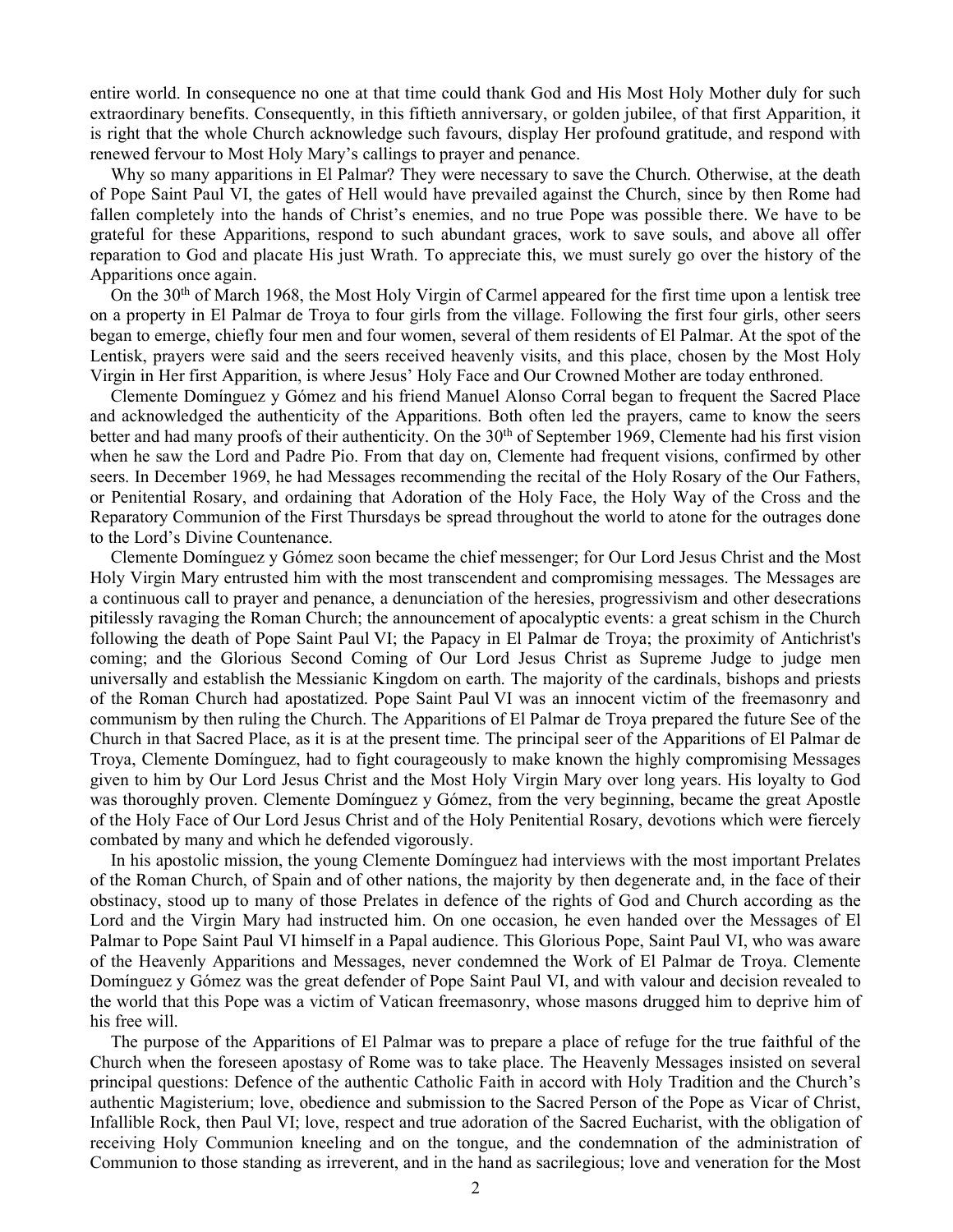entire world. In consequence no one at that time could thank God and His Most Holy Mother duly for such extraordinary benefits. Consequently, in this fiftieth anniversary, or golden jubilee, of that first Apparition, it is right that the whole Church acknowledge such favours, display Her profound gratitude, and respond with renewed fervour to Most Holy Mary's callings to prayer and penance.

Why so many apparitions in El Palmar? They were necessary to save the Church. Otherwise, at the death of Pope Saint Paul VI, the gates of Hell would have prevailed against the Church, since by then Rome had fallen completely into the hands of Christ's enemies, and no true Pope was possible there. We have to be grateful for these Apparitions, respond to such abundant graces, work to save souls, and above all offer reparation to God and placate His just Wrath. To appreciate this, we must surely go over the history of the Apparitions once again.

On the 30th of March 1968, the Most Holy Virgin of Carmel appeared for the first time upon a lentisk tree on a property in El Palmar de Troya to four girls from the village. Following the first four girls, other seers began to emerge, chiefly four men and four women, several of them residents of El Palmar. At the spot of the Lentisk, prayers were said and the seers received heavenly visits, and this place, chosen by the Most Holy Virgin in Her first Apparition, is where Jesus' Holy Face and Our Crowned Mother are today enthroned.

Clemente Domínguez y Gómez and his friend Manuel Alonso Corral began to frequent the Sacred Place and acknowledged the authenticity of the Apparitions. Both often led the prayers, came to know the seers better and had many proofs of their authenticity. On the 30<sup>th</sup> of September 1969, Clemente had his first vision when he saw the Lord and Padre Pio. From that day on, Clemente had frequent visions, confirmed by other seers. In December 1969, he had Messages recommending the recital of the Holy Rosary of the Our Fathers, or Penitential Rosary, and ordaining that Adoration of the Holy Face, the Holy Way of the Cross and the Reparatory Communion of the First Thursdays be spread throughout the world to atone for the outrages done to the Lord's Divine Countenance.

Clemente Domínguez y Gómez soon became the chief messenger; for Our Lord Jesus Christ and the Most Holy Virgin Mary entrusted him with the most transcendent and compromising messages. The Messages are a continuous call to prayer and penance, a denunciation of the heresies, progressivism and other desecrations pitilessly ravaging the Roman Church; the announcement of apocalyptic events: a great schism in the Church following the death of Pope Saint Paul VI; the Papacy in El Palmar de Troya; the proximity of Antichrist's coming; and the Glorious Second Coming of Our Lord Jesus Christ as Supreme Judge to judge men universally and establish the Messianic Kingdom on earth. The majority of the cardinals, bishops and priests of the Roman Church had apostatized. Pope Saint Paul VI was an innocent victim of the freemasonry and communism by then ruling the Church. The Apparitions of El Palmar de Troya prepared the future See of the Church in that Sacred Place, as it is at the present time. The principal seer of the Apparitions of El Palmar de Troya, Clemente Domínguez, had to fight courageously to make known the highly compromising Messages given to him by Our Lord Jesus Christ and the Most Holy Virgin Mary over long years. His loyalty to God was thoroughly proven. Clemente Domínguez y Gómez, from the very beginning, became the great Apostle of the Holy Face of Our Lord Jesus Christ and of the Holy Penitential Rosary, devotions which were fiercely combated by many and which he defended vigorously.

In his apostolic mission, the young Clemente Domínguez had interviews with the most important Prelates of the Roman Church, of Spain and of other nations, the majority by then degenerate and, in the face of their obstinacy, stood up to many of those Prelates in defence of the rights of God and Church according as the Lord and the Virgin Mary had instructed him. On one occasion, he even handed over the Messages of El Palmar to Pope Saint Paul VI himself in a Papal audience. This Glorious Pope, Saint Paul VI, who was aware of the Heavenly Apparitions and Messages, never condemned the Work of El Palmar de Troya. Clemente Domínguez y Gómez was the great defender of Pope Saint Paul VI, and with valour and decision revealed to the world that this Pope was a victim of Vatican freemasonry, whose masons drugged him to deprive him of his free will.

The purpose of the Apparitions of El Palmar was to prepare a place of refuge for the true faithful of the Church when the foreseen apostasy of Rome was to take place. The Heavenly Messages insisted on several principal questions: Defence of the authentic Catholic Faith in accord with Holy Tradition and the Church's authentic Magisterium; love, obedience and submission to the Sacred Person of the Pope as Vicar of Christ, Infallible Rock, then Paul VI; love, respect and true adoration of the Sacred Eucharist, with the obligation of receiving Holy Communion kneeling and on the tongue, and the condemnation of the administration of Communion to those standing as irreverent, and in the hand as sacrilegious; love and veneration for the Most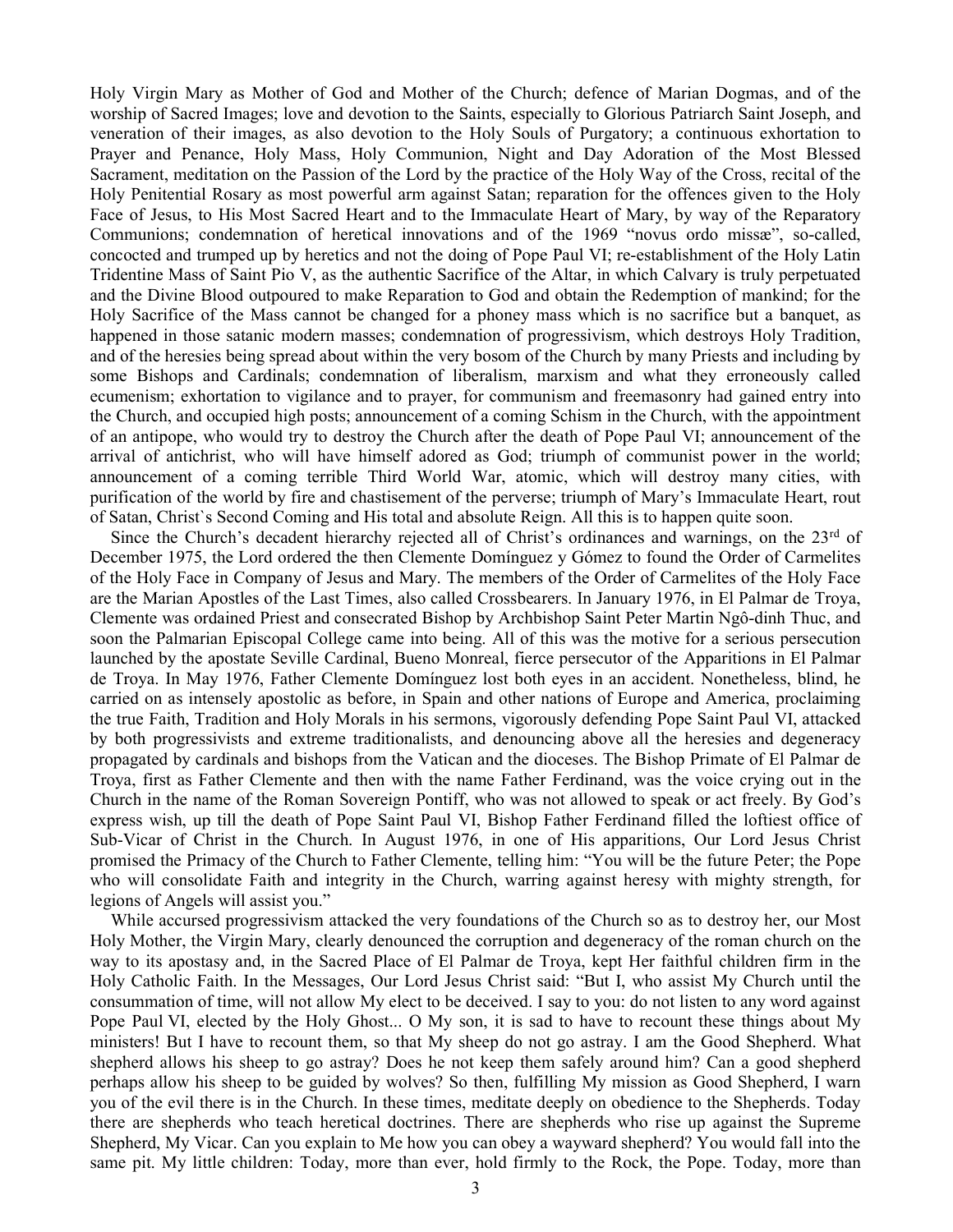Holy Virgin Mary as Mother of God and Mother of the Church; defence of Marian Dogmas, and of the worship of Sacred Images; love and devotion to the Saints, especially to Glorious Patriarch Saint Joseph, and veneration of their images, as also devotion to the Holy Souls of Purgatory; a continuous exhortation to Prayer and Penance, Holy Mass, Holy Communion, Night and Day Adoration of the Most Blessed Sacrament, meditation on the Passion of the Lord by the practice of the Holy Way of the Cross, recital of the Holy Penitential Rosary as most powerful arm against Satan; reparation for the offences given to the Holy Face of Jesus, to His Most Sacred Heart and to the Immaculate Heart of Mary, by way of the Reparatory Communions; condemnation of heretical innovations and of the 1969 "novus ordo missæ", so-called, concocted and trumped up by heretics and not the doing of Pope Paul VI; re-establishment of the Holy Latin Tridentine Mass of Saint Pio V, as the authentic Sacrifice of the Altar, in which Calvary is truly perpetuated and the Divine Blood outpoured to make Reparation to God and obtain the Redemption of mankind; for the Holy Sacrifice of the Mass cannot be changed for a phoney mass which is no sacrifice but a banquet, as happened in those satanic modern masses; condemnation of progressivism, which destroys Holy Tradition, and of the heresies being spread about within the very bosom of the Church by many Priests and including by some Bishops and Cardinals; condemnation of liberalism, marxism and what they erroneously called ecumenism; exhortation to vigilance and to prayer, for communism and freemasonry had gained entry into the Church, and occupied high posts; announcement of a coming Schism in the Church, with the appointment of an antipope, who would try to destroy the Church after the death of Pope Paul VI; announcement of the arrival of antichrist, who will have himself adored as God; triumph of communist power in the world; announcement of a coming terrible Third World War, atomic, which will destroy many cities, with purification of the world by fire and chastisement of the perverse; triumph of Mary's Immaculate Heart, rout of Satan, Christ`s Second Coming and His total and absolute Reign. All this is to happen quite soon.

Since the Church's decadent hierarchy rejected all of Christ's ordinances and warnings, on the 23<sup>rd</sup> of December 1975, the Lord ordered the then Clemente Domínguez y Gómez to found the Order of Carmelites of the Holy Face in Company of Jesus and Mary. The members of the Order of Carmelites of the Holy Face are the Marian Apostles of the Last Times, also called Crossbearers. In January 1976, in El Palmar de Troya, Clemente was ordained Priest and consecrated Bishop by Archbishop Saint Peter Martin Ngô-dinh Thuc, and soon the Palmarian Episcopal College came into being. All of this was the motive for a serious persecution launched by the apostate Seville Cardinal, Bueno Monreal, fierce persecutor of the Apparitions in El Palmar de Troya. In May 1976, Father Clemente Domínguez lost both eyes in an accident. Nonetheless, blind, he carried on as intensely apostolic as before, in Spain and other nations of Europe and America, proclaiming the true Faith, Tradition and Holy Morals in his sermons, vigorously defending Pope Saint Paul VI, attacked by both progressivists and extreme traditionalists, and denouncing above all the heresies and degeneracy propagated by cardinals and bishops from the Vatican and the dioceses. The Bishop Primate of El Palmar de Troya, first as Father Clemente and then with the name Father Ferdinand, was the voice crying out in the Church in the name of the Roman Sovereign Pontiff, who was not allowed to speak or act freely. By God's express wish, up till the death of Pope Saint Paul VI, Bishop Father Ferdinand filled the loftiest office of Sub-Vicar of Christ in the Church. In August 1976, in one of His apparitions, Our Lord Jesus Christ promised the Primacy of the Church to Father Clemente, telling him: "You will be the future Peter; the Pope who will consolidate Faith and integrity in the Church, warring against heresy with mighty strength, for legions of Angels will assist you."

While accursed progressivism attacked the very foundations of the Church so as to destroy her, our Most Holy Mother, the Virgin Mary, clearly denounced the corruption and degeneracy of the roman church on the way to its apostasy and, in the Sacred Place of El Palmar de Troya, kept Her faithful children firm in the Holy Catholic Faith. In the Messages, Our Lord Jesus Christ said: "But I, who assist My Church until the consummation of time, will not allow My elect to be deceived. I say to you: do not listen to any word against Pope Paul VI, elected by the Holy Ghost... O My son, it is sad to have to recount these things about My ministers! But I have to recount them, so that My sheep do not go astray. I am the Good Shepherd. What shepherd allows his sheep to go astray? Does he not keep them safely around him? Can a good shepherd perhaps allow his sheep to be guided by wolves? So then, fulfilling My mission as Good Shepherd, I warn you of the evil there is in the Church. In these times, meditate deeply on obedience to the Shepherds. Today there are shepherds who teach heretical doctrines. There are shepherds who rise up against the Supreme Shepherd, My Vicar. Can you explain to Me how you can obey a wayward shepherd? You would fall into the same pit. My little children: Today, more than ever, hold firmly to the Rock, the Pope. Today, more than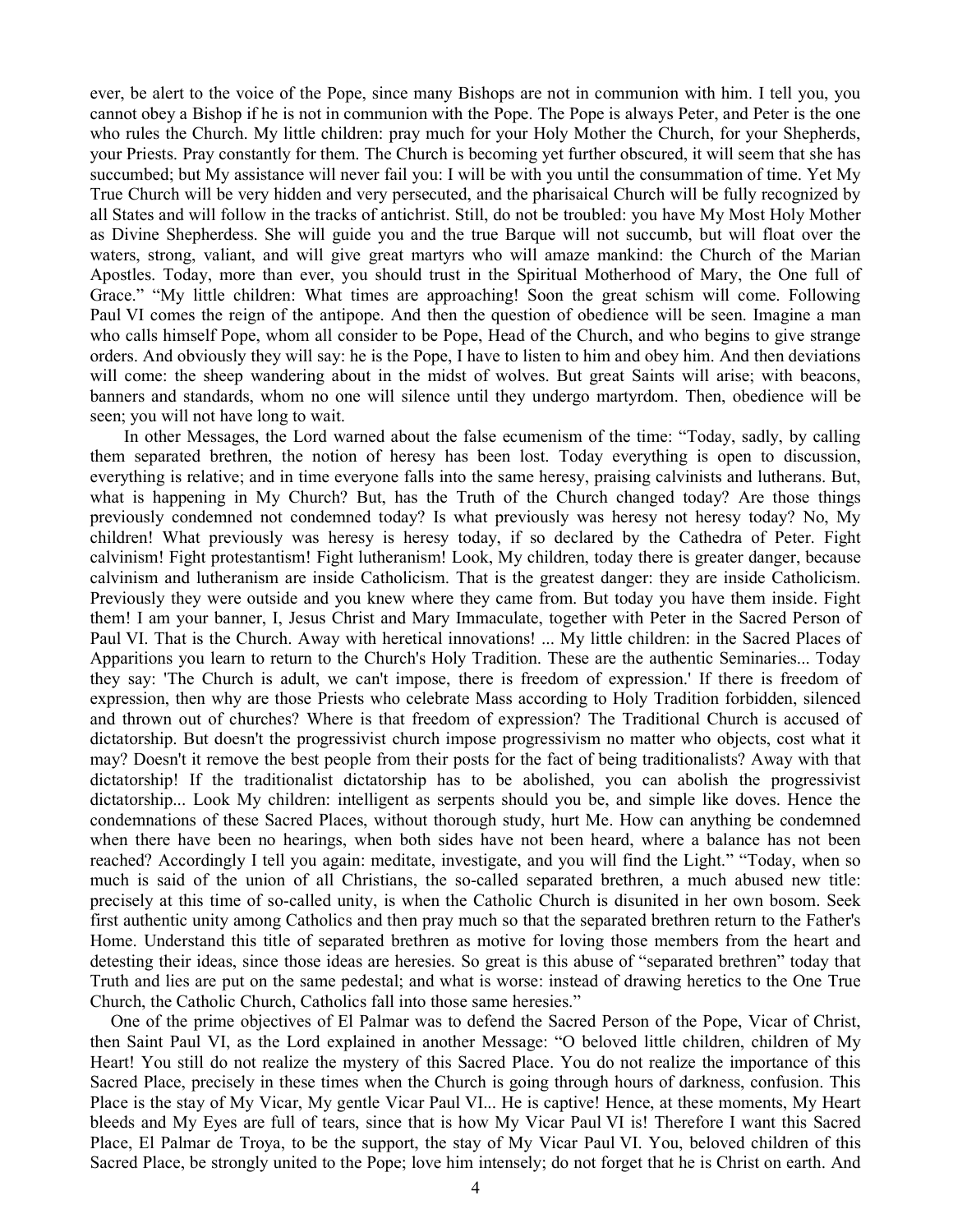ever, be alert to the voice of the Pope, since many Bishops are not in communion with him. I tell you, you cannot obey a Bishop if he is not in communion with the Pope. The Pope is always Peter, and Peter is the one who rules the Church. My little children: pray much for your Holy Mother the Church, for your Shepherds, your Priests. Pray constantly for them. The Church is becoming yet further obscured, it will seem that she has succumbed; but My assistance will never fail you: I will be with you until the consummation of time. Yet My True Church will be very hidden and very persecuted, and the pharisaical Church will be fully recognized by all States and will follow in the tracks of antichrist. Still, do not be troubled: you have My Most Holy Mother as Divine Shepherdess. She will guide you and the true Barque will not succumb, but will float over the waters, strong, valiant, and will give great martyrs who will amaze mankind: the Church of the Marian Apostles. Today, more than ever, you should trust in the Spiritual Motherhood of Mary, the One full of Grace." "My little children: What times are approaching! Soon the great schism will come. Following Paul VI comes the reign of the antipope. And then the question of obedience will be seen. Imagine a man who calls himself Pope, whom all consider to be Pope, Head of the Church, and who begins to give strange orders. And obviously they will say: he is the Pope, I have to listen to him and obey him. And then deviations will come: the sheep wandering about in the midst of wolves. But great Saints will arise; with beacons, banners and standards, whom no one will silence until they undergo martyrdom. Then, obedience will be seen; you will not have long to wait.

 In other Messages, the Lord warned about the false ecumenism of the time: "Today, sadly, by calling them separated brethren, the notion of heresy has been lost. Today everything is open to discussion, everything is relative; and in time everyone falls into the same heresy, praising calvinists and lutherans. But, what is happening in My Church? But, has the Truth of the Church changed today? Are those things previously condemned not condemned today? Is what previously was heresy not heresy today? No, My children! What previously was heresy is heresy today, if so declared by the Cathedra of Peter. Fight calvinism! Fight protestantism! Fight lutheranism! Look, My children, today there is greater danger, because calvinism and lutheranism are inside Catholicism. That is the greatest danger: they are inside Catholicism. Previously they were outside and you knew where they came from. But today you have them inside. Fight them! I am your banner, I, Jesus Christ and Mary Immaculate, together with Peter in the Sacred Person of Paul VI. That is the Church. Away with heretical innovations! ... My little children: in the Sacred Places of Apparitions you learn to return to the Church's Holy Tradition. These are the authentic Seminaries... Today they say: 'The Church is adult, we can't impose, there is freedom of expression.' If there is freedom of expression, then why are those Priests who celebrate Mass according to Holy Tradition forbidden, silenced and thrown out of churches? Where is that freedom of expression? The Traditional Church is accused of dictatorship. But doesn't the progressivist church impose progressivism no matter who objects, cost what it may? Doesn't it remove the best people from their posts for the fact of being traditionalists? Away with that dictatorship! If the traditionalist dictatorship has to be abolished, you can abolish the progressivist dictatorship... Look My children: intelligent as serpents should you be, and simple like doves. Hence the condemnations of these Sacred Places, without thorough study, hurt Me. How can anything be condemned when there have been no hearings, when both sides have not been heard, where a balance has not been reached? Accordingly I tell you again: meditate, investigate, and you will find the Light." "Today, when so much is said of the union of all Christians, the so-called separated brethren, a much abused new title: precisely at this time of so-called unity, is when the Catholic Church is disunited in her own bosom. Seek first authentic unity among Catholics and then pray much so that the separated brethren return to the Father's Home. Understand this title of separated brethren as motive for loving those members from the heart and detesting their ideas, since those ideas are heresies. So great is this abuse of "separated brethren" today that Truth and lies are put on the same pedestal; and what is worse: instead of drawing heretics to the One True Church, the Catholic Church, Catholics fall into those same heresies."

One of the prime objectives of El Palmar was to defend the Sacred Person of the Pope, Vicar of Christ, then Saint Paul VI, as the Lord explained in another Message: "O beloved little children, children of My Heart! You still do not realize the mystery of this Sacred Place. You do not realize the importance of this Sacred Place, precisely in these times when the Church is going through hours of darkness, confusion. This Place is the stay of My Vicar, My gentle Vicar Paul VI... He is captive! Hence, at these moments, My Heart bleeds and My Eyes are full of tears, since that is how My Vicar Paul VI is! Therefore I want this Sacred Place, El Palmar de Troya, to be the support, the stay of My Vicar Paul VI. You, beloved children of this Sacred Place, be strongly united to the Pope; love him intensely; do not forget that he is Christ on earth. And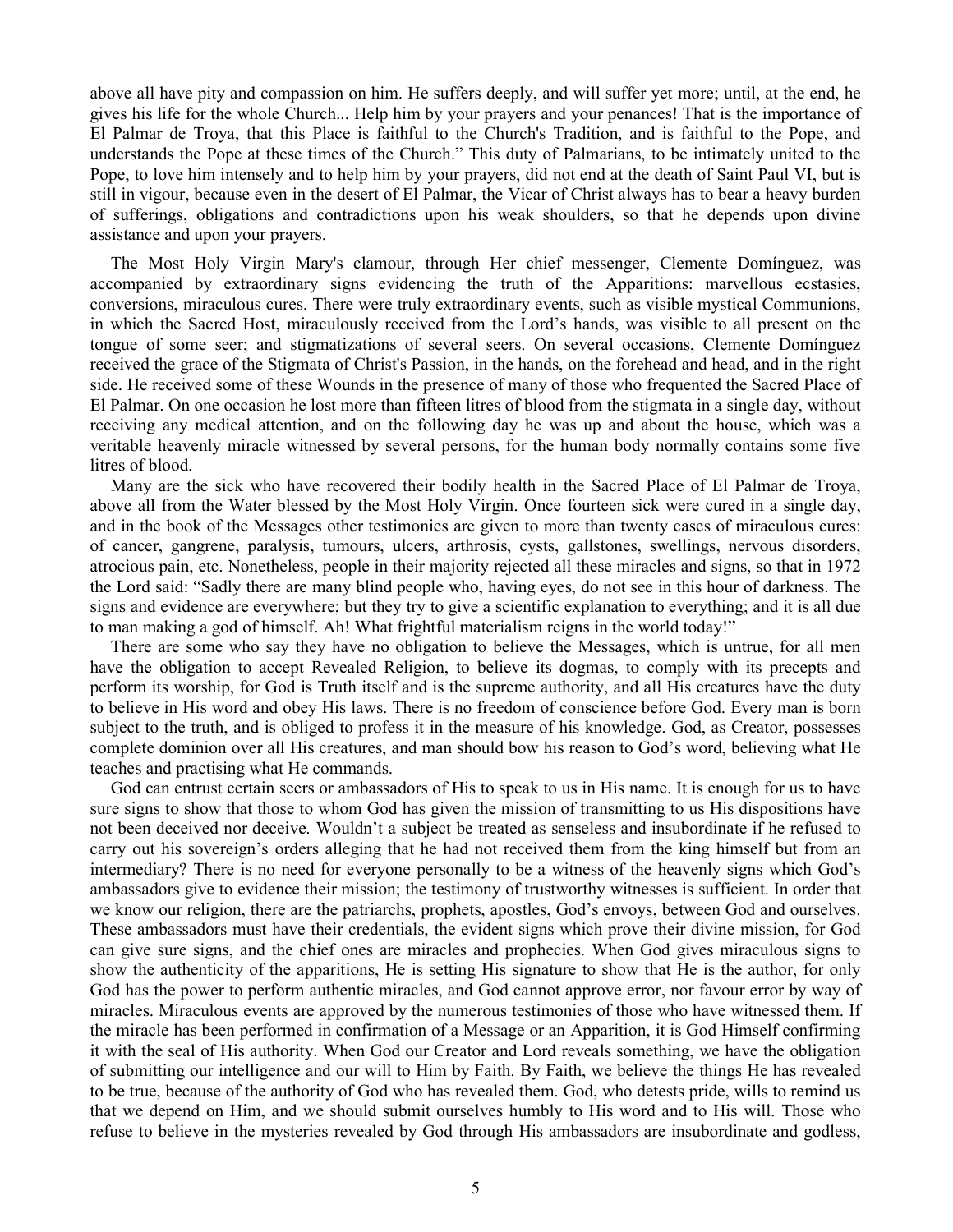above all have pity and compassion on him. He suffers deeply, and will suffer yet more; until, at the end, he gives his life for the whole Church... Help him by your prayers and your penances! That is the importance of El Palmar de Troya, that this Place is faithful to the Church's Tradition, and is faithful to the Pope, and understands the Pope at these times of the Church." This duty of Palmarians, to be intimately united to the Pope, to love him intensely and to help him by your prayers, did not end at the death of Saint Paul VI, but is still in vigour, because even in the desert of El Palmar, the Vicar of Christ always has to bear a heavy burden of sufferings, obligations and contradictions upon his weak shoulders, so that he depends upon divine assistance and upon your prayers.

The Most Holy Virgin Mary's clamour, through Her chief messenger, Clemente Domínguez, was accompanied by extraordinary signs evidencing the truth of the Apparitions: marvellous ecstasies, conversions, miraculous cures. There were truly extraordinary events, such as visible mystical Communions, in which the Sacred Host, miraculously received from the Lord's hands, was visible to all present on the tongue of some seer; and stigmatizations of several seers. On several occasions, Clemente Domínguez received the grace of the Stigmata of Christ's Passion, in the hands, on the forehead and head, and in the right side. He received some of these Wounds in the presence of many of those who frequented the Sacred Place of El Palmar. On one occasion he lost more than fifteen litres of blood from the stigmata in a single day, without receiving any medical attention, and on the following day he was up and about the house, which was a veritable heavenly miracle witnessed by several persons, for the human body normally contains some five litres of blood.

Many are the sick who have recovered their bodily health in the Sacred Place of El Palmar de Troya, above all from the Water blessed by the Most Holy Virgin. Once fourteen sick were cured in a single day, and in the book of the Messages other testimonies are given to more than twenty cases of miraculous cures: of cancer, gangrene, paralysis, tumours, ulcers, arthrosis, cysts, gallstones, swellings, nervous disorders, atrocious pain, etc. Nonetheless, people in their majority rejected all these miracles and signs, so that in 1972 the Lord said: "Sadly there are many blind people who, having eyes, do not see in this hour of darkness. The signs and evidence are everywhere; but they try to give a scientific explanation to everything; and it is all due to man making a god of himself. Ah! What frightful materialism reigns in the world today!"

There are some who say they have no obligation to believe the Messages, which is untrue, for all men have the obligation to accept Revealed Religion, to believe its dogmas, to comply with its precepts and perform its worship, for God is Truth itself and is the supreme authority, and all His creatures have the duty to believe in His word and obey His laws. There is no freedom of conscience before God. Every man is born subject to the truth, and is obliged to profess it in the measure of his knowledge. God, as Creator, possesses complete dominion over all His creatures, and man should bow his reason to God's word, believing what He teaches and practising what He commands.

God can entrust certain seers or ambassadors of His to speak to us in His name. It is enough for us to have sure signs to show that those to whom God has given the mission of transmitting to us His dispositions have not been deceived nor deceive. Wouldn't a subject be treated as senseless and insubordinate if he refused to carry out his sovereign's orders alleging that he had not received them from the king himself but from an intermediary? There is no need for everyone personally to be a witness of the heavenly signs which God's ambassadors give to evidence their mission; the testimony of trustworthy witnesses is sufficient. In order that we know our religion, there are the patriarchs, prophets, apostles, God's envoys, between God and ourselves. These ambassadors must have their credentials, the evident signs which prove their divine mission, for God can give sure signs, and the chief ones are miracles and prophecies. When God gives miraculous signs to show the authenticity of the apparitions, He is setting His signature to show that He is the author, for only God has the power to perform authentic miracles, and God cannot approve error, nor favour error by way of miracles. Miraculous events are approved by the numerous testimonies of those who have witnessed them. If the miracle has been performed in confirmation of a Message or an Apparition, it is God Himself confirming it with the seal of His authority. When God our Creator and Lord reveals something, we have the obligation of submitting our intelligence and our will to Him by Faith. By Faith, we believe the things He has revealed to be true, because of the authority of God who has revealed them. God, who detests pride, wills to remind us that we depend on Him, and we should submit ourselves humbly to His word and to His will. Those who refuse to believe in the mysteries revealed by God through His ambassadors are insubordinate and godless,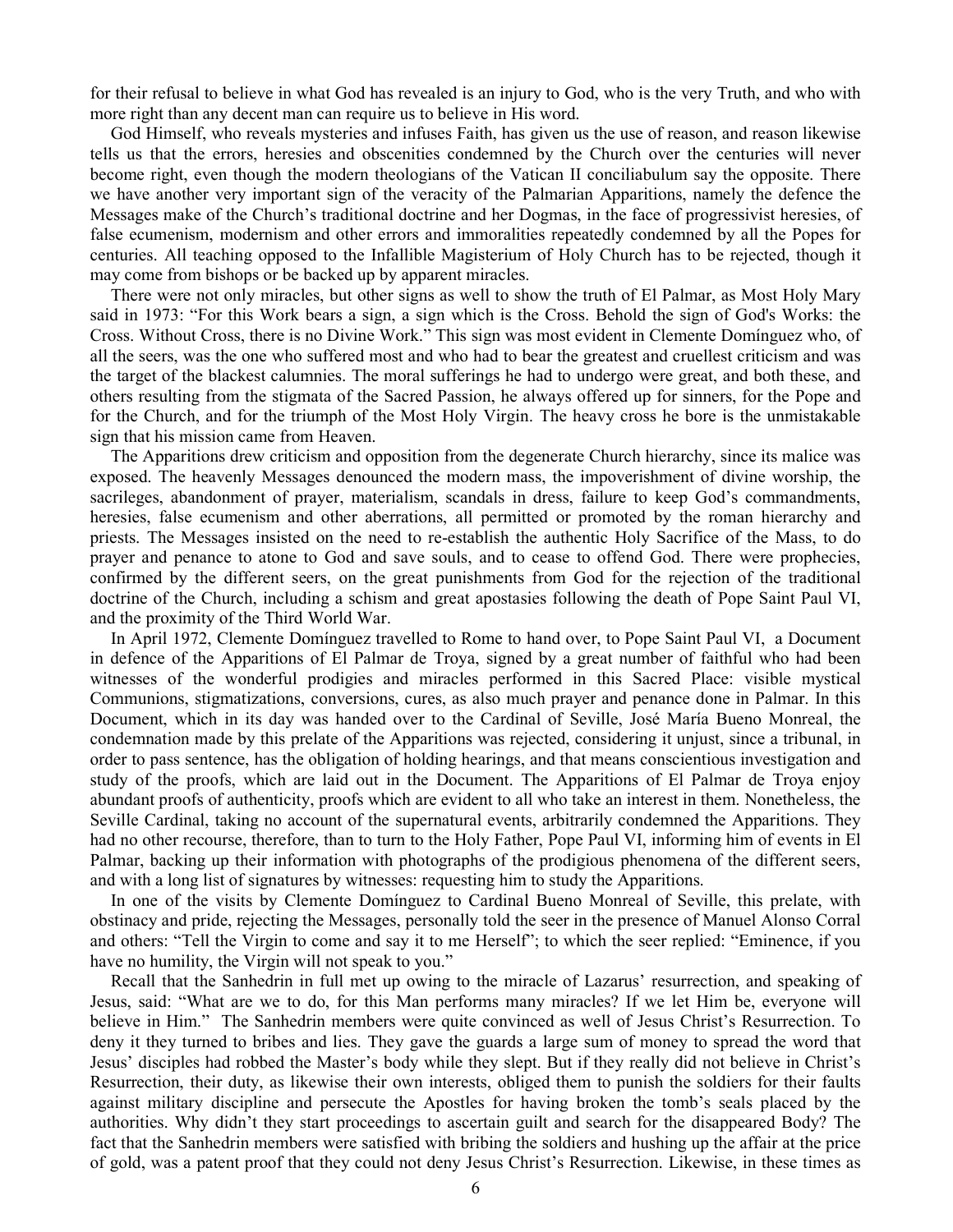for their refusal to believe in what God has revealed is an injury to God, who is the very Truth, and who with more right than any decent man can require us to believe in His word.

God Himself, who reveals mysteries and infuses Faith, has given us the use of reason, and reason likewise tells us that the errors, heresies and obscenities condemned by the Church over the centuries will never become right, even though the modern theologians of the Vatican II conciliabulum say the opposite. There we have another very important sign of the veracity of the Palmarian Apparitions, namely the defence the Messages make of the Church's traditional doctrine and her Dogmas, in the face of progressivist heresies, of false ecumenism, modernism and other errors and immoralities repeatedly condemned by all the Popes for centuries. All teaching opposed to the Infallible Magisterium of Holy Church has to be rejected, though it may come from bishops or be backed up by apparent miracles.

There were not only miracles, but other signs as well to show the truth of El Palmar, as Most Holy Mary said in 1973: "For this Work bears a sign, a sign which is the Cross. Behold the sign of God's Works: the Cross. Without Cross, there is no Divine Work." This sign was most evident in Clemente Domínguez who, of all the seers, was the one who suffered most and who had to bear the greatest and cruellest criticism and was the target of the blackest calumnies. The moral sufferings he had to undergo were great, and both these, and others resulting from the stigmata of the Sacred Passion, he always offered up for sinners, for the Pope and for the Church, and for the triumph of the Most Holy Virgin. The heavy cross he bore is the unmistakable sign that his mission came from Heaven.

The Apparitions drew criticism and opposition from the degenerate Church hierarchy, since its malice was exposed. The heavenly Messages denounced the modern mass, the impoverishment of divine worship, the sacrileges, abandonment of prayer, materialism, scandals in dress, failure to keep God's commandments, heresies, false ecumenism and other aberrations, all permitted or promoted by the roman hierarchy and priests. The Messages insisted on the need to re-establish the authentic Holy Sacrifice of the Mass, to do prayer and penance to atone to God and save souls, and to cease to offend God. There were prophecies, confirmed by the different seers, on the great punishments from God for the rejection of the traditional doctrine of the Church, including a schism and great apostasies following the death of Pope Saint Paul VI, and the proximity of the Third World War.

In April 1972, Clemente Domínguez travelled to Rome to hand over, to Pope Saint Paul VI, a Document in defence of the Apparitions of El Palmar de Troya, signed by a great number of faithful who had been witnesses of the wonderful prodigies and miracles performed in this Sacred Place: visible mystical Communions, stigmatizations, conversions, cures, as also much prayer and penance done in Palmar. In this Document, which in its day was handed over to the Cardinal of Seville, José María Bueno Monreal, the condemnation made by this prelate of the Apparitions was rejected, considering it unjust, since a tribunal, in order to pass sentence, has the obligation of holding hearings, and that means conscientious investigation and study of the proofs, which are laid out in the Document. The Apparitions of El Palmar de Troya enjoy abundant proofs of authenticity, proofs which are evident to all who take an interest in them. Nonetheless, the Seville Cardinal, taking no account of the supernatural events, arbitrarily condemned the Apparitions. They had no other recourse, therefore, than to turn to the Holy Father, Pope Paul VI, informing him of events in El Palmar, backing up their information with photographs of the prodigious phenomena of the different seers, and with a long list of signatures by witnesses: requesting him to study the Apparitions.

In one of the visits by Clemente Domínguez to Cardinal Bueno Monreal of Seville, this prelate, with obstinacy and pride, rejecting the Messages, personally told the seer in the presence of Manuel Alonso Corral and others: "Tell the Virgin to come and say it to me Herself"; to which the seer replied: "Eminence, if you have no humility, the Virgin will not speak to you."

Recall that the Sanhedrin in full met up owing to the miracle of Lazarus' resurrection, and speaking of Jesus, said: "What are we to do, for this Man performs many miracles? If we let Him be, everyone will believe in Him." The Sanhedrin members were quite convinced as well of Jesus Christ's Resurrection. To deny it they turned to bribes and lies. They gave the guards a large sum of money to spread the word that Jesus' disciples had robbed the Master's body while they slept. But if they really did not believe in Christ's Resurrection, their duty, as likewise their own interests, obliged them to punish the soldiers for their faults against military discipline and persecute the Apostles for having broken the tomb's seals placed by the authorities. Why didn't they start proceedings to ascertain guilt and search for the disappeared Body? The fact that the Sanhedrin members were satisfied with bribing the soldiers and hushing up the affair at the price of gold, was a patent proof that they could not deny Jesus Christ's Resurrection. Likewise, in these times as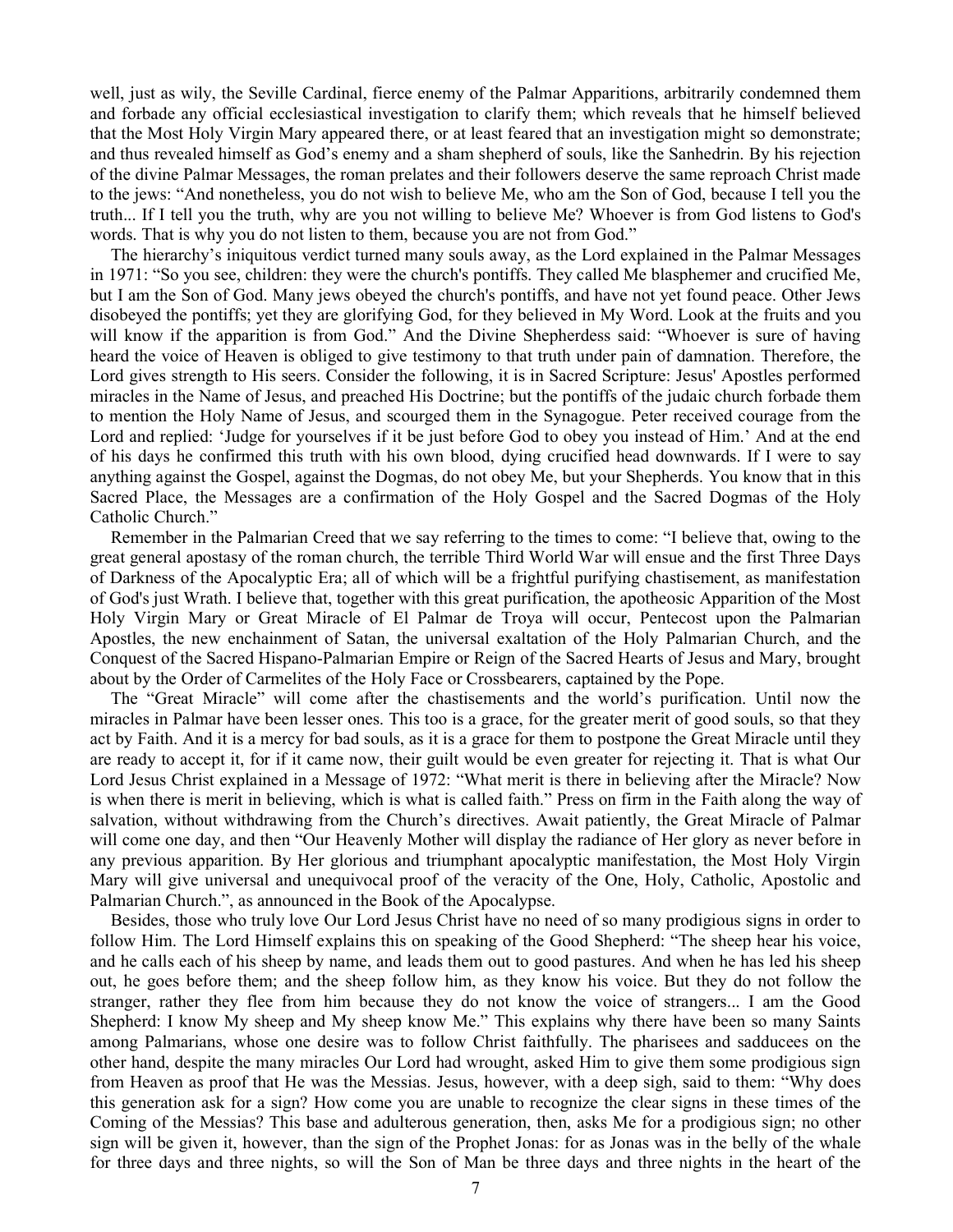well, just as wily, the Seville Cardinal, fierce enemy of the Palmar Apparitions, arbitrarily condemned them and forbade any official ecclesiastical investigation to clarify them; which reveals that he himself believed that the Most Holy Virgin Mary appeared there, or at least feared that an investigation might so demonstrate; and thus revealed himself as God's enemy and a sham shepherd of souls, like the Sanhedrin. By his rejection of the divine Palmar Messages, the roman prelates and their followers deserve the same reproach Christ made to the jews: "And nonetheless, you do not wish to believe Me, who am the Son of God, because I tell you the truth... If I tell you the truth, why are you not willing to believe Me? Whoever is from God listens to God's words. That is why you do not listen to them, because you are not from God."

The hierarchy's iniquitous verdict turned many souls away, as the Lord explained in the Palmar Messages in 1971: "So you see, children: they were the church's pontiffs. They called Me blasphemer and crucified Me, but I am the Son of God. Many jews obeyed the church's pontiffs, and have not yet found peace. Other Jews disobeyed the pontiffs; yet they are glorifying God, for they believed in My Word. Look at the fruits and you will know if the apparition is from God." And the Divine Shepherdess said: "Whoever is sure of having heard the voice of Heaven is obliged to give testimony to that truth under pain of damnation. Therefore, the Lord gives strength to His seers. Consider the following, it is in Sacred Scripture: Jesus' Apostles performed miracles in the Name of Jesus, and preached His Doctrine; but the pontiffs of the judaic church forbade them to mention the Holy Name of Jesus, and scourged them in the Synagogue. Peter received courage from the Lord and replied: 'Judge for yourselves if it be just before God to obey you instead of Him.' And at the end of his days he confirmed this truth with his own blood, dying crucified head downwards. If I were to say anything against the Gospel, against the Dogmas, do not obey Me, but your Shepherds. You know that in this Sacred Place, the Messages are a confirmation of the Holy Gospel and the Sacred Dogmas of the Holy Catholic Church."

Remember in the Palmarian Creed that we say referring to the times to come: "I believe that, owing to the great general apostasy of the roman church, the terrible Third World War will ensue and the first Three Days of Darkness of the Apocalyptic Era; all of which will be a frightful purifying chastisement, as manifestation of God's just Wrath. I believe that, together with this great purification, the apotheosic Apparition of the Most Holy Virgin Mary or Great Miracle of El Palmar de Troya will occur, Pentecost upon the Palmarian Apostles, the new enchainment of Satan, the universal exaltation of the Holy Palmarian Church, and the Conquest of the Sacred Hispano-Palmarian Empire or Reign of the Sacred Hearts of Jesus and Mary, brought about by the Order of Carmelites of the Holy Face or Crossbearers, captained by the Pope.

The "Great Miracle" will come after the chastisements and the world's purification. Until now the miracles in Palmar have been lesser ones. This too is a grace, for the greater merit of good souls, so that they act by Faith. And it is a mercy for bad souls, as it is a grace for them to postpone the Great Miracle until they are ready to accept it, for if it came now, their guilt would be even greater for rejecting it. That is what Our Lord Jesus Christ explained in a Message of 1972: "What merit is there in believing after the Miracle? Now is when there is merit in believing, which is what is called faith." Press on firm in the Faith along the way of salvation, without withdrawing from the Church's directives. Await patiently, the Great Miracle of Palmar will come one day, and then "Our Heavenly Mother will display the radiance of Her glory as never before in any previous apparition. By Her glorious and triumphant apocalyptic manifestation, the Most Holy Virgin Mary will give universal and unequivocal proof of the veracity of the One, Holy, Catholic, Apostolic and Palmarian Church.", as announced in the Book of the Apocalypse.

Besides, those who truly love Our Lord Jesus Christ have no need of so many prodigious signs in order to follow Him. The Lord Himself explains this on speaking of the Good Shepherd: "The sheep hear his voice, and he calls each of his sheep by name, and leads them out to good pastures. And when he has led his sheep out, he goes before them; and the sheep follow him, as they know his voice. But they do not follow the stranger, rather they flee from him because they do not know the voice of strangers... I am the Good Shepherd: I know My sheep and My sheep know Me." This explains why there have been so many Saints among Palmarians, whose one desire was to follow Christ faithfully. The pharisees and sadducees on the other hand, despite the many miracles Our Lord had wrought, asked Him to give them some prodigious sign from Heaven as proof that He was the Messias. Jesus, however, with a deep sigh, said to them: "Why does this generation ask for a sign? How come you are unable to recognize the clear signs in these times of the Coming of the Messias? This base and adulterous generation, then, asks Me for a prodigious sign; no other sign will be given it, however, than the sign of the Prophet Jonas: for as Jonas was in the belly of the whale for three days and three nights, so will the Son of Man be three days and three nights in the heart of the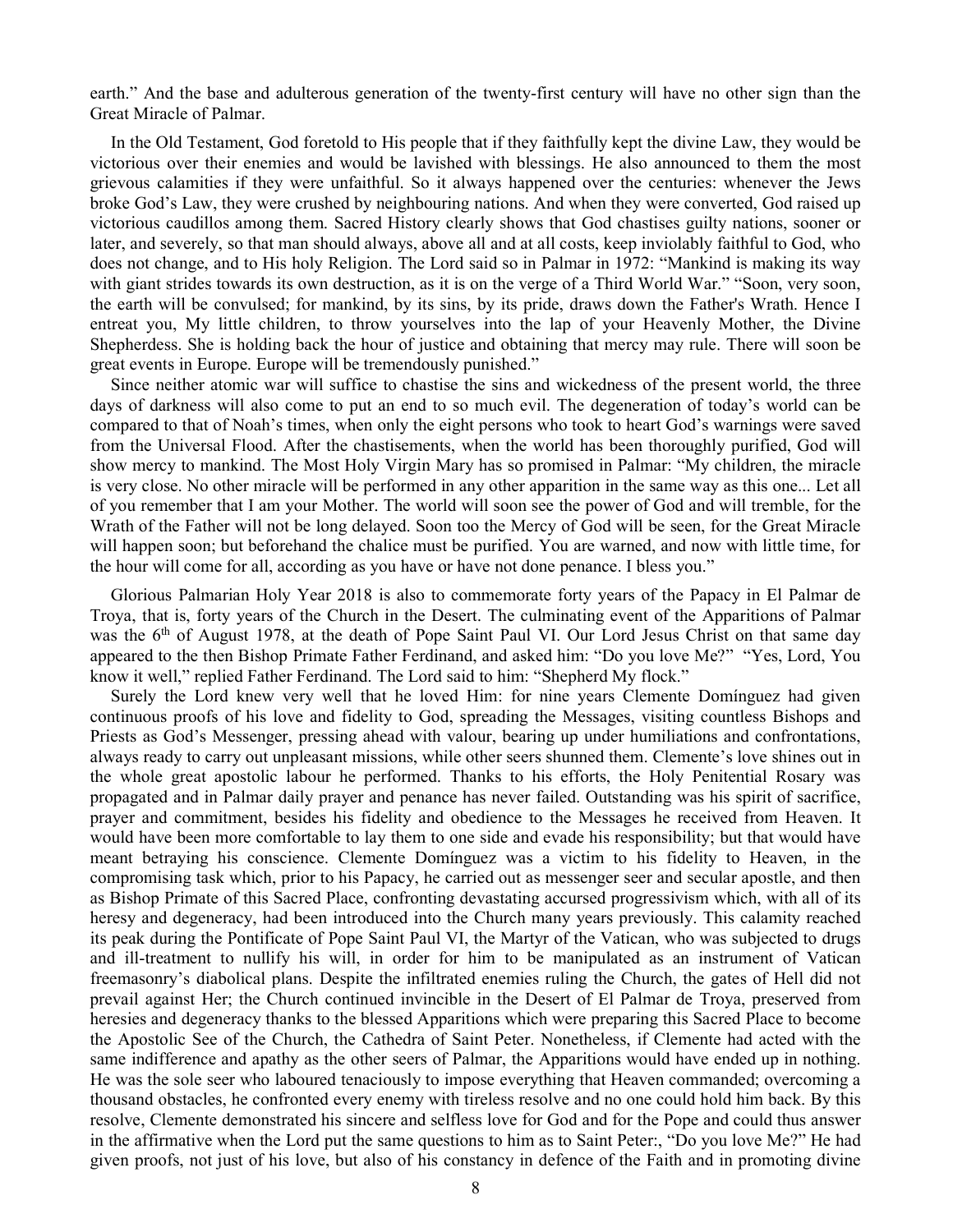earth." And the base and adulterous generation of the twenty-first century will have no other sign than the Great Miracle of Palmar.

In the Old Testament, God foretold to His people that if they faithfully kept the divine Law, they would be victorious over their enemies and would be lavished with blessings. He also announced to them the most grievous calamities if they were unfaithful. So it always happened over the centuries: whenever the Jews broke God's Law, they were crushed by neighbouring nations. And when they were converted, God raised up victorious caudillos among them. Sacred History clearly shows that God chastises guilty nations, sooner or later, and severely, so that man should always, above all and at all costs, keep inviolably faithful to God, who does not change, and to His holy Religion. The Lord said so in Palmar in 1972: "Mankind is making its way with giant strides towards its own destruction, as it is on the verge of a Third World War." "Soon, very soon, the earth will be convulsed; for mankind, by its sins, by its pride, draws down the Father's Wrath. Hence I entreat you, My little children, to throw yourselves into the lap of your Heavenly Mother, the Divine Shepherdess. She is holding back the hour of justice and obtaining that mercy may rule. There will soon be great events in Europe. Europe will be tremendously punished."

Since neither atomic war will suffice to chastise the sins and wickedness of the present world, the three days of darkness will also come to put an end to so much evil. The degeneration of today's world can be compared to that of Noah's times, when only the eight persons who took to heart God's warnings were saved from the Universal Flood. After the chastisements, when the world has been thoroughly purified, God will show mercy to mankind. The Most Holy Virgin Mary has so promised in Palmar: "My children, the miracle is very close. No other miracle will be performed in any other apparition in the same way as this one... Let all of you remember that I am your Mother. The world will soon see the power of God and will tremble, for the Wrath of the Father will not be long delayed. Soon too the Mercy of God will be seen, for the Great Miracle will happen soon; but beforehand the chalice must be purified. You are warned, and now with little time, for the hour will come for all, according as you have or have not done penance. I bless you."

Glorious Palmarian Holy Year 2018 is also to commemorate forty years of the Papacy in El Palmar de Troya, that is, forty years of the Church in the Desert. The culminating event of the Apparitions of Palmar was the 6<sup>th</sup> of August 1978, at the death of Pope Saint Paul VI. Our Lord Jesus Christ on that same day appeared to the then Bishop Primate Father Ferdinand, and asked him: "Do you love Me?" "Yes, Lord, You know it well," replied Father Ferdinand. The Lord said to him: "Shepherd My flock."

Surely the Lord knew very well that he loved Him: for nine years Clemente Domínguez had given continuous proofs of his love and fidelity to God, spreading the Messages, visiting countless Bishops and Priests as God's Messenger, pressing ahead with valour, bearing up under humiliations and confrontations, always ready to carry out unpleasant missions, while other seers shunned them. Clemente's love shines out in the whole great apostolic labour he performed. Thanks to his efforts, the Holy Penitential Rosary was propagated and in Palmar daily prayer and penance has never failed. Outstanding was his spirit of sacrifice, prayer and commitment, besides his fidelity and obedience to the Messages he received from Heaven. It would have been more comfortable to lay them to one side and evade his responsibility; but that would have meant betraying his conscience. Clemente Domínguez was a victim to his fidelity to Heaven, in the compromising task which, prior to his Papacy, he carried out as messenger seer and secular apostle, and then as Bishop Primate of this Sacred Place, confronting devastating accursed progressivism which, with all of its heresy and degeneracy, had been introduced into the Church many years previously. This calamity reached its peak during the Pontificate of Pope Saint Paul VI, the Martyr of the Vatican, who was subjected to drugs and ill-treatment to nullify his will, in order for him to be manipulated as an instrument of Vatican freemasonry's diabolical plans. Despite the infiltrated enemies ruling the Church, the gates of Hell did not prevail against Her; the Church continued invincible in the Desert of El Palmar de Troya, preserved from heresies and degeneracy thanks to the blessed Apparitions which were preparing this Sacred Place to become the Apostolic See of the Church, the Cathedra of Saint Peter. Nonetheless, if Clemente had acted with the same indifference and apathy as the other seers of Palmar, the Apparitions would have ended up in nothing. He was the sole seer who laboured tenaciously to impose everything that Heaven commanded; overcoming a thousand obstacles, he confronted every enemy with tireless resolve and no one could hold him back. By this resolve, Clemente demonstrated his sincere and selfless love for God and for the Pope and could thus answer in the affirmative when the Lord put the same questions to him as to Saint Peter:, "Do you love Me?" He had given proofs, not just of his love, but also of his constancy in defence of the Faith and in promoting divine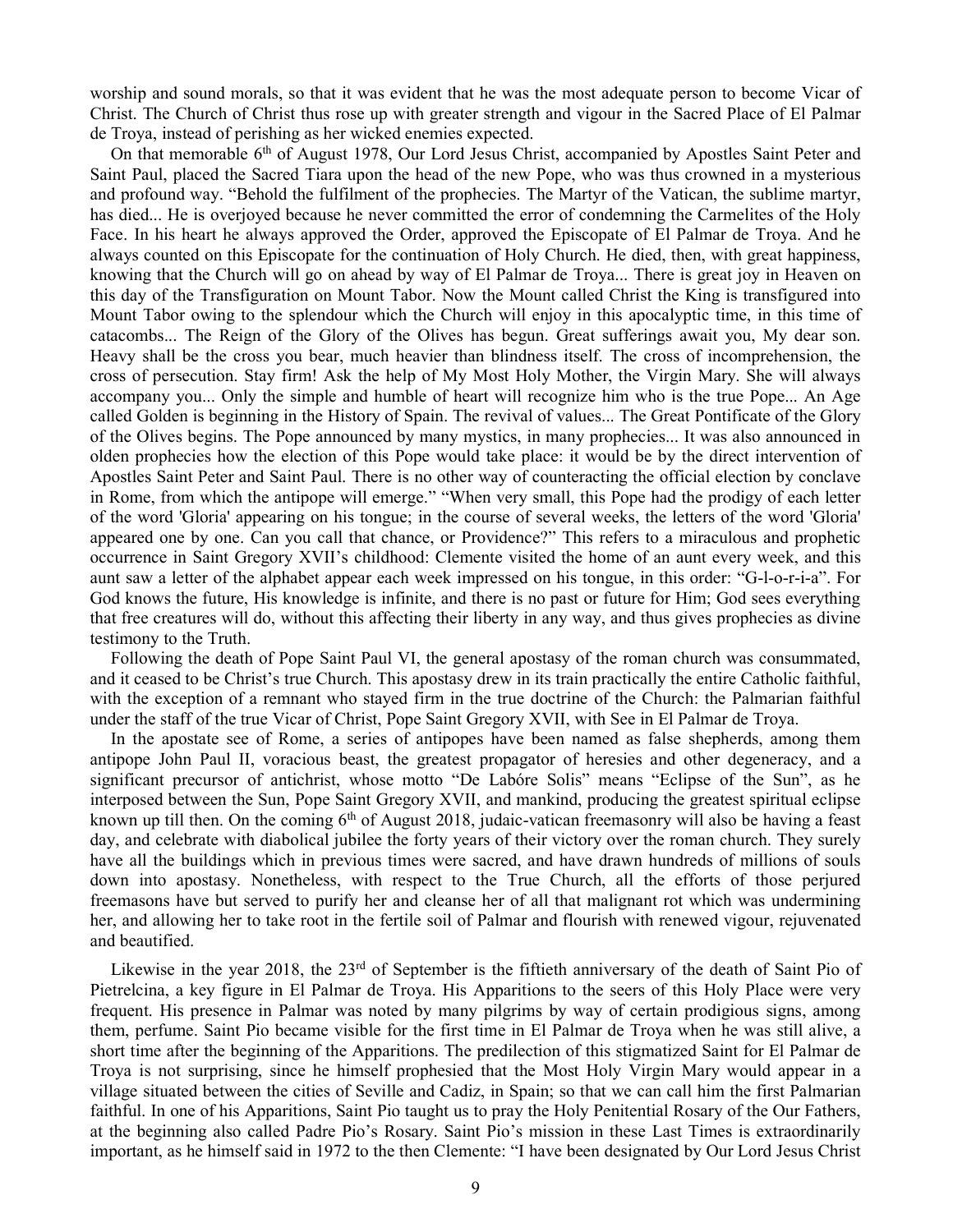worship and sound morals, so that it was evident that he was the most adequate person to become Vicar of Christ. The Church of Christ thus rose up with greater strength and vigour in the Sacred Place of El Palmar de Troya, instead of perishing as her wicked enemies expected.

On that memorable 6<sup>th</sup> of August 1978, Our Lord Jesus Christ, accompanied by Apostles Saint Peter and Saint Paul, placed the Sacred Tiara upon the head of the new Pope, who was thus crowned in a mysterious and profound way. "Behold the fulfilment of the prophecies. The Martyr of the Vatican, the sublime martyr, has died... He is overjoyed because he never committed the error of condemning the Carmelites of the Holy Face. In his heart he always approved the Order, approved the Episcopate of El Palmar de Troya. And he always counted on this Episcopate for the continuation of Holy Church. He died, then, with great happiness, knowing that the Church will go on ahead by way of El Palmar de Troya... There is great joy in Heaven on this day of the Transfiguration on Mount Tabor. Now the Mount called Christ the King is transfigured into Mount Tabor owing to the splendour which the Church will enjoy in this apocalyptic time, in this time of catacombs... The Reign of the Glory of the Olives has begun. Great sufferings await you, My dear son. Heavy shall be the cross you bear, much heavier than blindness itself. The cross of incomprehension, the cross of persecution. Stay firm! Ask the help of My Most Holy Mother, the Virgin Mary. She will always accompany you... Only the simple and humble of heart will recognize him who is the true Pope... An Age called Golden is beginning in the History of Spain. The revival of values... The Great Pontificate of the Glory of the Olives begins. The Pope announced by many mystics, in many prophecies... It was also announced in olden prophecies how the election of this Pope would take place: it would be by the direct intervention of Apostles Saint Peter and Saint Paul. There is no other way of counteracting the official election by conclave in Rome, from which the antipope will emerge." "When very small, this Pope had the prodigy of each letter of the word 'Gloria' appearing on his tongue; in the course of several weeks, the letters of the word 'Gloria' appeared one by one. Can you call that chance, or Providence?" This refers to a miraculous and prophetic occurrence in Saint Gregory XVII's childhood: Clemente visited the home of an aunt every week, and this aunt saw a letter of the alphabet appear each week impressed on his tongue, in this order: "G-l-o-r-i-a". For God knows the future, His knowledge is infinite, and there is no past or future for Him; God sees everything that free creatures will do, without this affecting their liberty in any way, and thus gives prophecies as divine testimony to the Truth.

Following the death of Pope Saint Paul VI, the general apostasy of the roman church was consummated, and it ceased to be Christ's true Church. This apostasy drew in its train practically the entire Catholic faithful, with the exception of a remnant who stayed firm in the true doctrine of the Church: the Palmarian faithful under the staff of the true Vicar of Christ, Pope Saint Gregory XVII, with See in El Palmar de Troya.

In the apostate see of Rome, a series of antipopes have been named as false shepherds, among them antipope John Paul II, voracious beast, the greatest propagator of heresies and other degeneracy, and a significant precursor of antichrist, whose motto "De Labóre Solis" means "Eclipse of the Sun", as he interposed between the Sun, Pope Saint Gregory XVII, and mankind, producing the greatest spiritual eclipse known up till then. On the coming  $6<sup>th</sup>$  of August 2018, judaic-vatican freemasonry will also be having a feast day, and celebrate with diabolical jubilee the forty years of their victory over the roman church. They surely have all the buildings which in previous times were sacred, and have drawn hundreds of millions of souls down into apostasy. Nonetheless, with respect to the True Church, all the efforts of those perjured freemasons have but served to purify her and cleanse her of all that malignant rot which was undermining her, and allowing her to take root in the fertile soil of Palmar and flourish with renewed vigour, rejuvenated and beautified.

Likewise in the year 2018, the  $23<sup>rd</sup>$  of September is the fiftieth anniversary of the death of Saint Pio of Pietrelcina, a key figure in El Palmar de Troya. His Apparitions to the seers of this Holy Place were very frequent. His presence in Palmar was noted by many pilgrims by way of certain prodigious signs, among them, perfume. Saint Pio became visible for the first time in El Palmar de Troya when he was still alive, a short time after the beginning of the Apparitions. The predilection of this stigmatized Saint for El Palmar de Troya is not surprising, since he himself prophesied that the Most Holy Virgin Mary would appear in a village situated between the cities of Seville and Cadiz, in Spain; so that we can call him the first Palmarian faithful. In one of his Apparitions, Saint Pio taught us to pray the Holy Penitential Rosary of the Our Fathers, at the beginning also called Padre Pio's Rosary. Saint Pio's mission in these Last Times is extraordinarily important, as he himself said in 1972 to the then Clemente: "I have been designated by Our Lord Jesus Christ